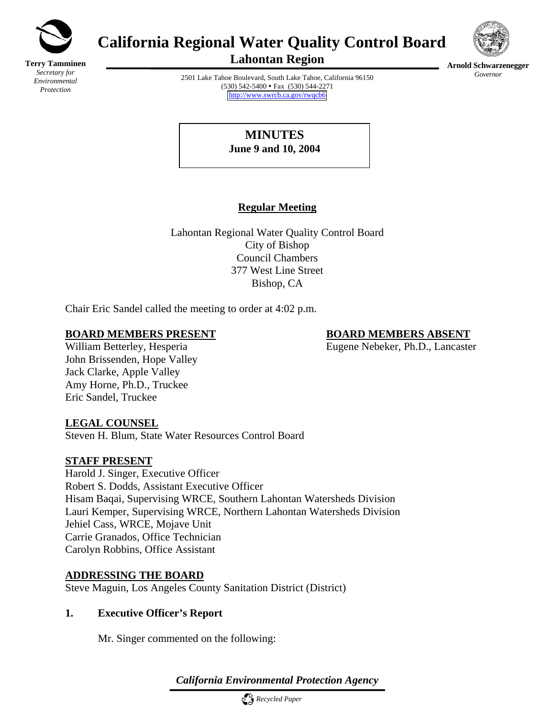

**Terry Tamminen** *Secretary for Environmental Protection*

# **California Regional Water Quality Control Board**



**Lahontan Region** 

**Arnold Schwarzenegger** *Governor* 

2501 Lake Tahoe Boulevard, South Lake Tahoe, California 96150 (530) 542-5400 • Fax (530) 544-2271 <http://www.swrcb.ca.gov/rwqcb6>

> **MINUTES June 9 and 10, 2004**

# **Regular Meeting**

Lahontan Regional Water Quality Control Board City of Bishop Council Chambers 377 West Line Street Bishop, CA

Chair Eric Sandel called the meeting to order at 4:02 p.m.

### **BOARD MEMBERS PRESENT BOARD MEMBERS ABSENT**

William Betterley, Hesperia Eugene Nebeker, Ph.D., Lancaster

John Brissenden, Hope Valley Jack Clarke, Apple Valley Amy Horne, Ph.D., Truckee Eric Sandel, Truckee

### **LEGAL COUNSEL**

Steven H. Blum, State Water Resources Control Board

# **STAFF PRESENT**

Harold J. Singer, Executive Officer Robert S. Dodds, Assistant Executive Officer Hisam Baqai, Supervising WRCE, Southern Lahontan Watersheds Division Lauri Kemper, Supervising WRCE, Northern Lahontan Watersheds Division Jehiel Cass, WRCE, Mojave Unit Carrie Granados, Office Technician Carolyn Robbins, Office Assistant

### **ADDRESSING THE BOARD**

Steve Maguin, Los Angeles County Sanitation District (District)

# **1. Executive Officer's Report**

Mr. Singer commented on the following:

*California Environmental Protection Agency*

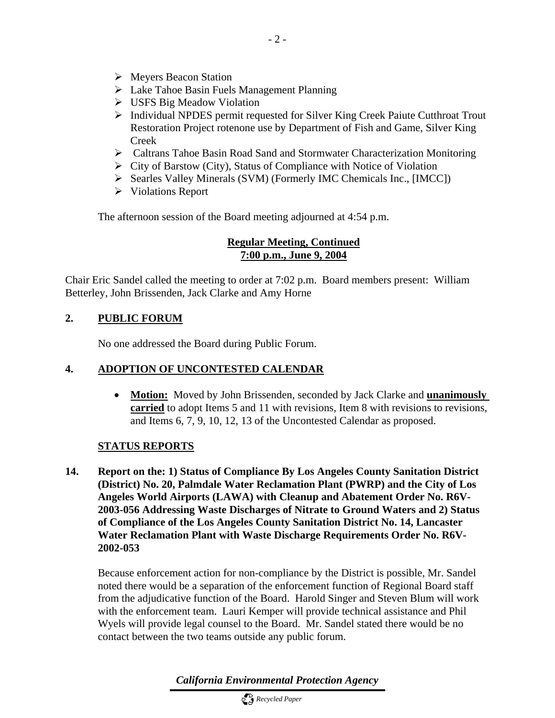- $\triangleright$  Meyers Beacon Station
- $\triangleright$  Lake Tahoe Basin Fuels Management Planning
- $\triangleright$  USFS Big Meadow Violation
- ¾ Individual NPDES permit requested for Silver King Creek Paiute Cutthroat Trout Restoration Project rotenone use by Department of Fish and Game, Silver King Creek
- ¾ Caltrans Tahoe Basin Road Sand and Stormwater Characterization Monitoring
- ¾ City of Barstow (City), Status of Compliance with Notice of Violation
- ¾ Searles Valley Minerals (SVM) (Formerly IMC Chemicals Inc., [IMCC])
- ¾ Violations Report

The afternoon session of the Board meeting adjourned at 4:54 p.m.

#### **Regular Meeting, Continued 7:00 p.m., June 9, 2004**

Chair Eric Sandel called the meeting to order at 7:02 p.m. Board members present: William Betterley, John Brissenden, Jack Clarke and Amy Horne

#### **2. PUBLIC FORUM**

No one addressed the Board during Public Forum.

#### **4. ADOPTION OF UNCONTESTED CALENDAR**

• **Motion:** Moved by John Brissenden, seconded by Jack Clarke and **unanimously carried** to adopt Items 5 and 11 with revisions, Item 8 with revisions to revisions, and Items 6, 7, 9, 10, 12, 13 of the Uncontested Calendar as proposed.

#### **STATUS REPORTS**

**14. Report on the: 1) Status of Compliance By Los Angeles County Sanitation District (District) No. 20, Palmdale Water Reclamation Plant (PWRP) and the City of Los Angeles World Airports (LAWA) with Cleanup and Abatement Order No. R6V-2003-056 Addressing Waste Discharges of Nitrate to Ground Waters and 2) Status of Compliance of the Los Angeles County Sanitation District No. 14, Lancaster Water Reclamation Plant with Waste Discharge Requirements Order No. R6V-2002-053** 

Because enforcement action for non-compliance by the District is possible, Mr. Sandel noted there would be a separation of the enforcement function of Regional Board staff from the adjudicative function of the Board. Harold Singer and Steven Blum will work with the enforcement team. Lauri Kemper will provide technical assistance and Phil Wyels will provide legal counsel to the Board. Mr. Sandel stated there would be no contact between the two teams outside any public forum.

*California Environmental Protection Agency*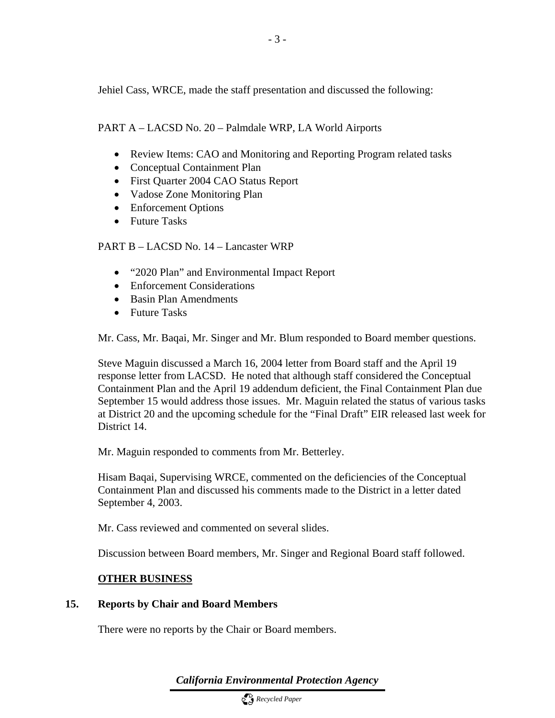Jehiel Cass, WRCE, made the staff presentation and discussed the following:

#### PART A – LACSD No. 20 – Palmdale WRP, LA World Airports

- Review Items: CAO and Monitoring and Reporting Program related tasks
- Conceptual Containment Plan
- First Quarter 2004 CAO Status Report
- Vadose Zone Monitoring Plan
- Enforcement Options
- Future Tasks

#### PART B – LACSD No. 14 – Lancaster WRP

- "2020 Plan" and Environmental Impact Report
- Enforcement Considerations
- Basin Plan Amendments
- Future Tasks

Mr. Cass, Mr. Baqai, Mr. Singer and Mr. Blum responded to Board member questions.

Steve Maguin discussed a March 16, 2004 letter from Board staff and the April 19 response letter from LACSD. He noted that although staff considered the Conceptual Containment Plan and the April 19 addendum deficient, the Final Containment Plan due September 15 would address those issues. Mr. Maguin related the status of various tasks at District 20 and the upcoming schedule for the "Final Draft" EIR released last week for District 14.

Mr. Maguin responded to comments from Mr. Betterley.

Hisam Baqai, Supervising WRCE, commented on the deficiencies of the Conceptual Containment Plan and discussed his comments made to the District in a letter dated September 4, 2003.

Mr. Cass reviewed and commented on several slides.

Discussion between Board members, Mr. Singer and Regional Board staff followed.

#### **OTHER BUSINESS**

#### **15. Reports by Chair and Board Members**

There were no reports by the Chair or Board members.

*California Environmental Protection Agency*